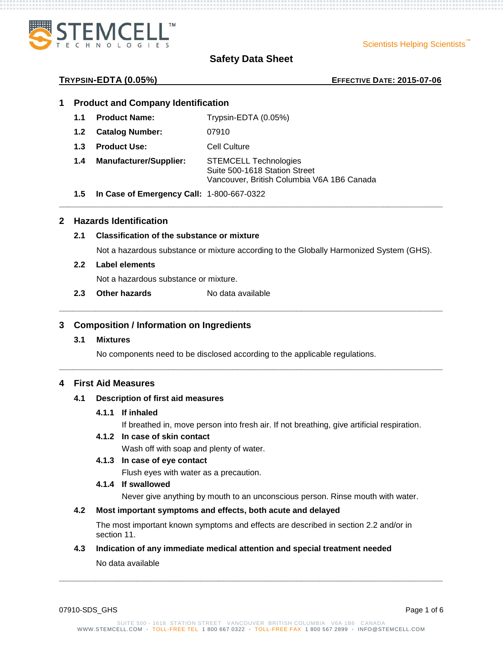

Scientists Helping Scientists

### **TRYPSIN-EDTA (0.05%) EFFECTIVE DATE: 2015-07-06**

### **1 Product and Company Identification**

- **1.1 Product Name:** Trypsin-EDTA (0.05%)
- **1.2 Catalog Number:** 07910
- **1.3 Product Use:** Cell Culture
- **1.4 Manufacturer/Supplier:** STEMCELL Technologies Suite 500-1618 Station Street Vancouver, British Columbia V6A 1B6 Canada
- **1.5 In Case of Emergency Call:** 1-800-667-0322

# **2 Hazards Identification**

# **2.1 Classification of the substance or mixture**

Not a hazardous substance or mixture according to the Globally Harmonized System (GHS).

**\_\_\_\_\_\_\_\_\_\_\_\_\_\_\_\_\_\_\_\_\_\_\_\_\_\_\_\_\_\_\_\_\_\_\_\_\_\_\_\_\_\_\_\_\_\_\_\_\_\_\_\_\_\_\_\_\_\_\_\_\_\_\_\_\_\_\_\_\_\_\_\_\_\_\_\_\_\_\_\_\_\_\_\_**

**\_\_\_\_\_\_\_\_\_\_\_\_\_\_\_\_\_\_\_\_\_\_\_\_\_\_\_\_\_\_\_\_\_\_\_\_\_\_\_\_\_\_\_\_\_\_\_\_\_\_\_\_\_\_\_\_\_\_\_\_\_\_\_\_\_\_\_\_\_\_\_\_\_\_\_\_\_\_\_\_\_\_\_\_**

**\_\_\_\_\_\_\_\_\_\_\_\_\_\_\_\_\_\_\_\_\_\_\_\_\_\_\_\_\_\_\_\_\_\_\_\_\_\_\_\_\_\_\_\_\_\_\_\_\_\_\_\_\_\_\_\_\_\_\_\_\_\_\_\_\_\_\_\_\_\_\_\_\_\_\_\_\_\_\_\_\_\_\_\_**

#### **2.2 Label elements**

Not a hazardous substance or mixture.

**2.3 Other hazards** No data available

# **3 Composition / Information on Ingredients**

#### **3.1 Mixtures**

No components need to be disclosed according to the applicable regulations.

### **4 First Aid Measures**

## **4.1 Description of first aid measures**

#### **4.1.1 If inhaled**

If breathed in, move person into fresh air. If not breathing, give artificial respiration.

#### **4.1.2 In case of skin contact**

Wash off with soap and plenty of water.

#### **4.1.3 In case of eye contact**

Flush eyes with water as a precaution.

# **4.1.4 If swallowed**

Never give anything by mouth to an unconscious person. Rinse mouth with water.

# **4.2 Most important symptoms and effects, both acute and delayed**

The most important known symptoms and effects are described in section 2.2 and/or in section 11.

### **4.3 Indication of any immediate medical attention and special treatment needed**

No data available

07910-SDS GHS Page 1 of 6

**\_\_\_\_\_\_\_\_\_\_\_\_\_\_\_\_\_\_\_\_\_\_\_\_\_\_\_\_\_\_\_\_\_\_\_\_\_\_\_\_\_\_\_\_\_\_\_\_\_\_\_\_\_\_\_\_\_\_\_\_\_\_\_\_\_\_\_\_\_\_\_\_\_\_\_\_\_\_\_\_\_\_\_\_**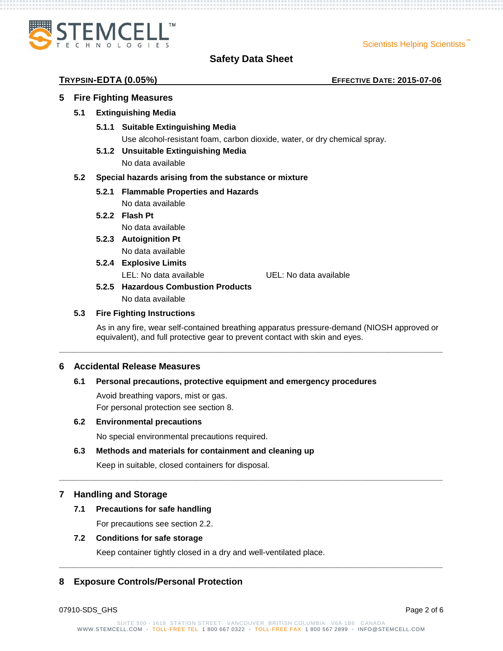Scientists Helping Scientists



# **Safety Data Sheet**

## **TRYPSIN-EDTA (0.05%) EFFECTIVE DATE: 2015-07-06**

# **5 Fire Fighting Measures**

# **5.1 Extinguishing Media**

**5.1.1 Suitable Extinguishing Media**

Use alcohol-resistant foam, carbon dioxide, water, or dry chemical spray.

**5.1.2 Unsuitable Extinguishing Media**

No data available

# **5.2 Special hazards arising from the substance or mixture**

**5.2.1 Flammable Properties and Hazards**

No data available

**5.2.2 Flash Pt**

No data available

- **5.2.3 Autoignition Pt** No data available
- **5.2.4 Explosive Limits**

LEL: No data available UEL: No data available

**5.2.5 Hazardous Combustion Products** No data available

# **5.3 Fire Fighting Instructions**

As in any fire, wear self-contained breathing apparatus pressure-demand (NIOSH approved or equivalent), and full protective gear to prevent contact with skin and eyes.

**\_\_\_\_\_\_\_\_\_\_\_\_\_\_\_\_\_\_\_\_\_\_\_\_\_\_\_\_\_\_\_\_\_\_\_\_\_\_\_\_\_\_\_\_\_\_\_\_\_\_\_\_\_\_\_\_\_\_\_\_\_\_\_\_\_\_\_\_\_\_\_\_\_\_\_\_\_\_\_\_\_\_\_\_**

**\_\_\_\_\_\_\_\_\_\_\_\_\_\_\_\_\_\_\_\_\_\_\_\_\_\_\_\_\_\_\_\_\_\_\_\_\_\_\_\_\_\_\_\_\_\_\_\_\_\_\_\_\_\_\_\_\_\_\_\_\_\_\_\_\_\_\_\_\_\_\_\_\_\_\_\_\_\_\_\_\_\_\_\_** 

# **6 Accidental Release Measures**

### **6.1 Personal precautions, protective equipment and emergency procedures**

Avoid breathing vapors, mist or gas. For personal protection see section 8.

### **6.2 Environmental precautions**

No special environmental precautions required.

# **6.3 Methods and materials for containment and cleaning up**

Keep in suitable, closed containers for disposal.

# **7 Handling and Storage**

### **7.1 Precautions for safe handling**

For precautions see section 2.2.

## **7.2 Conditions for safe storage**

Keep container tightly closed in a dry and well-ventilated place.

# **8 Exposure Controls/Personal Protection**

07910-SDS GHS Page 2 of 6

**\_\_\_\_\_\_\_\_\_\_\_\_\_\_\_\_\_\_\_\_\_\_\_\_\_\_\_\_\_\_\_\_\_\_\_\_\_\_\_\_\_\_\_\_\_\_\_\_\_\_\_\_\_\_\_\_\_\_\_\_\_\_\_\_\_\_\_\_\_\_\_\_\_\_\_\_\_\_\_\_\_\_\_\_**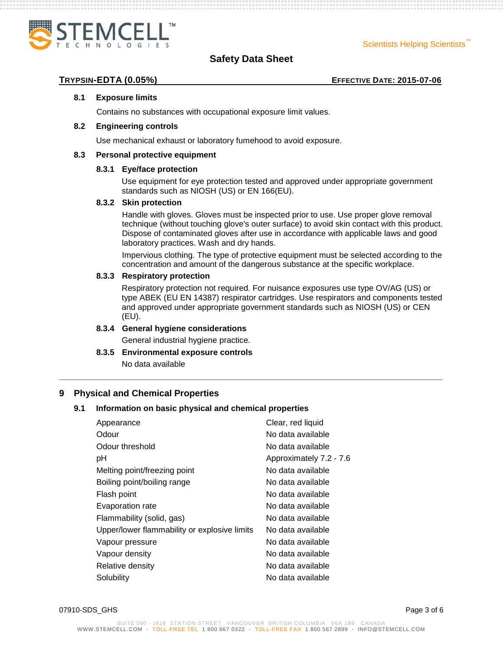

**TRYPSIN-EDTA (0.05%) EFFECTIVE DATE: 2015-07-06**

### **8.1 Exposure limits**

Contains no substances with occupational exposure limit values.

#### **8.2 Engineering controls**

Use mechanical exhaust or laboratory fumehood to avoid exposure.

#### **8.3 Personal protective equipment**

### **8.3.1 Eye/face protection**

Use equipment for eye protection tested and approved under appropriate government standards such as NIOSH (US) or EN 166(EU).

#### **8.3.2 Skin protection**

Handle with gloves. Gloves must be inspected prior to use. Use proper glove removal technique (without touching glove's outer surface) to avoid skin contact with this product. Dispose of contaminated gloves after use in accordance with applicable laws and good laboratory practices. Wash and dry hands.

Impervious clothing. The type of protective equipment must be selected according to the concentration and amount of the dangerous substance at the specific workplace.

#### **8.3.3 Respiratory protection**

Respiratory protection not required. For nuisance exposures use type OV/AG (US) or type ABEK (EU EN 14387) respirator cartridges. Use respirators and components tested and approved under appropriate government standards such as NIOSH (US) or CEN (EU).

**\_\_\_\_\_\_\_\_\_\_\_\_\_\_\_\_\_\_\_\_\_\_\_\_\_\_\_\_\_\_\_\_\_\_\_\_\_\_\_\_\_\_\_\_\_\_\_\_\_\_\_\_\_\_\_\_\_\_\_\_\_\_\_\_\_\_\_\_\_\_\_\_\_\_\_\_\_\_\_\_\_\_\_\_**

### **8.3.4 General hygiene considerations**

General industrial hygiene practice.

**8.3.5 Environmental exposure controls**

No data available

### **9 Physical and Chemical Properties**

### **9.1 Information on basic physical and chemical properties**

| Appearance                                   | Clear, red liquid       |
|----------------------------------------------|-------------------------|
| Odour                                        | No data available       |
| Odour threshold                              | No data available       |
| рH                                           | Approximately 7.2 - 7.6 |
| Melting point/freezing point                 | No data available       |
| Boiling point/boiling range                  | No data available       |
| Flash point                                  | No data available       |
| Evaporation rate                             | No data available       |
| Flammability (solid, gas)                    | No data available       |
| Upper/lower flammability or explosive limits | No data available       |
| Vapour pressure                              | No data available       |
| Vapour density                               | No data available       |
| Relative density                             | No data available       |
| Solubility                                   | No data available       |
|                                              |                         |

07910-SDS GHS Page 3 of 6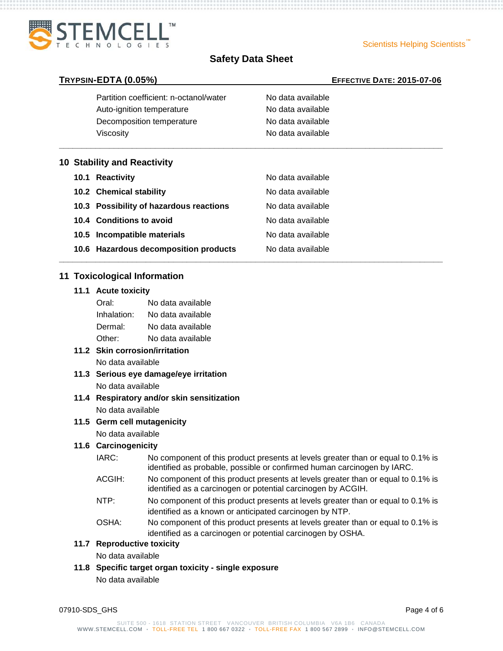



**\_\_\_\_\_\_\_\_\_\_\_\_\_\_\_\_\_\_\_\_\_\_\_\_\_\_\_\_\_\_\_\_\_\_\_\_\_\_\_\_\_\_\_\_\_\_\_\_\_\_\_\_\_\_\_\_\_\_\_\_\_\_\_\_\_\_\_\_\_\_\_\_\_\_\_\_\_\_\_\_\_\_\_\_**

**\_\_\_\_\_\_\_\_\_\_\_\_\_\_\_\_\_\_\_\_\_\_\_\_\_\_\_\_\_\_\_\_\_\_\_\_\_\_\_\_\_\_\_\_\_\_\_\_\_\_\_\_\_\_\_\_\_\_\_\_\_\_\_\_\_\_\_\_\_\_\_\_\_\_\_\_\_\_\_\_\_\_\_\_**

#### **TRYPSIN-EDTA (0.05%) EFFECTIVE DATE: 2015-07-06**

| Partition coefficient: n-octanol/water | No data available |
|----------------------------------------|-------------------|
| Auto-ignition temperature              | No data available |
| Decomposition temperature              | No data available |
| Viscosity                              | No data available |

#### **10 Stability and Reactivity**

| 10.1 Reactivity                         | No data available |
|-----------------------------------------|-------------------|
| 10.2 Chemical stability                 | No data available |
| 10.3 Possibility of hazardous reactions | No data available |
| 10.4 Conditions to avoid                | No data available |
| 10.5 Incompatible materials             | No data available |
| 10.6 Hazardous decomposition products   | No data available |

# **11 Toxicological Information**

# **11.1 Acute toxicity**

| Oral:       | No data available |
|-------------|-------------------|
| Inhalation: | No data available |
| Dermal:     | No data available |
| Other:      | No data available |

- **11.2 Skin corrosion/irritation** No data available
- **11.3 Serious eye damage/eye irritation** No data available
- **11.4 Respiratory and/or skin sensitization** No data available

### **11.5 Germ cell mutagenicity**

No data available

### **11.6 Carcinogenicity**

- IARC: No component of this product presents at levels greater than or equal to 0.1% is identified as probable, possible or confirmed human carcinogen by IARC.
- ACGIH: No component of this product presents at levels greater than or equal to 0.1% is identified as a carcinogen or potential carcinogen by ACGIH.
- NTP: No component of this product presents at levels greater than or equal to 0.1% is identified as a known or anticipated carcinogen by NTP.
- OSHA: No component of this product presents at levels greater than or equal to 0.1% is identified as a carcinogen or potential carcinogen by OSHA.

# **11.7 Reproductive toxicity**

No data available

**11.8 Specific target organ toxicity - single exposure**

No data available

07910-SDS GHS Page 4 of 6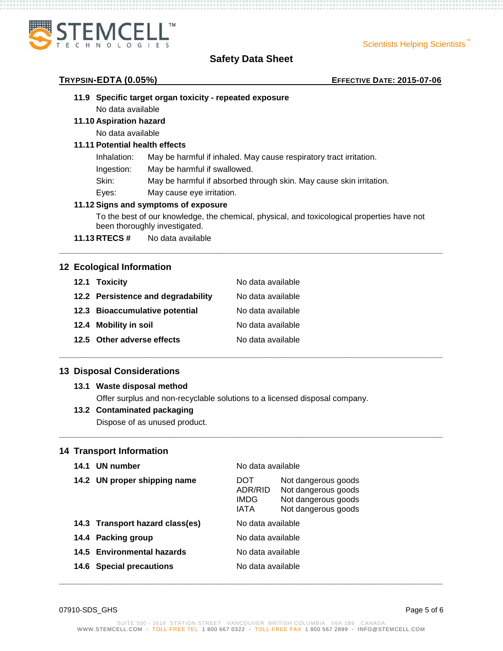

#### **TRYPSIN-EDTA (0.05%) EFFECTIVE DATE: 2015-07-06**

# **11.9 Specific target organ toxicity - repeated exposure**

No data available

# **11.10 Aspiration hazard**

No data available

### **11.11 Potential health effects**

- Inhalation: May be harmful if inhaled. May cause respiratory tract irritation.
- Ingestion: May be harmful if swallowed.
- Skin: May be harmful if absorbed through skin. May cause skin irritation.
- Eyes: May cause eye irritation.

### **11.12 Signs and symptoms of exposure**

To the best of our knowledge, the chemical, physical, and toxicological properties have not been thoroughly investigated.

**\_\_\_\_\_\_\_\_\_\_\_\_\_\_\_\_\_\_\_\_\_\_\_\_\_\_\_\_\_\_\_\_\_\_\_\_\_\_\_\_\_\_\_\_\_\_\_\_\_\_\_\_\_\_\_\_\_\_\_\_\_\_\_\_\_\_\_\_\_\_\_\_\_\_\_\_\_\_\_\_\_\_\_\_**

**\_\_\_\_\_\_\_\_\_\_\_\_\_\_\_\_\_\_\_\_\_\_\_\_\_\_\_\_\_\_\_\_\_\_\_\_\_\_\_\_\_\_\_\_\_\_\_\_\_\_\_\_\_\_\_\_\_\_\_\_\_\_\_\_\_\_\_\_\_\_\_\_\_\_\_\_\_\_\_\_\_\_\_\_**

**\_\_\_\_\_\_\_\_\_\_\_\_\_\_\_\_\_\_\_\_\_\_\_\_\_\_\_\_\_\_\_\_\_\_\_\_\_\_\_\_\_\_\_\_\_\_\_\_\_\_\_\_\_\_\_\_\_\_\_\_\_\_\_\_\_\_\_\_\_\_\_\_\_\_\_\_\_\_\_\_\_\_\_\_**

**11.13 RTECS #** No data available

# **12 Ecological Information**

| 12.1 Toxicity                      | No data available |
|------------------------------------|-------------------|
| 12.2 Persistence and degradability | No data available |
| 12.3 Bioaccumulative potential     | No data available |
| 12.4 Mobility in soil              | No data available |
| 12.5 Other adverse effects         | No data available |

# **13 Disposal Considerations**

### **13.1 Waste disposal method**

Offer surplus and non-recyclable solutions to a licensed disposal company.

### **13.2 Contaminated packaging**

Dispose of as unused product.

### **14 Transport Information**

| 14.1 UN number                  | No data available                      |                                                                                          |
|---------------------------------|----------------------------------------|------------------------------------------------------------------------------------------|
| 14.2 UN proper shipping name    | DOT<br>ADR/RID<br>IMDG.<br><b>IATA</b> | Not dangerous goods<br>Not dangerous goods<br>Not dangerous goods<br>Not dangerous goods |
| 14.3 Transport hazard class(es) | No data available                      |                                                                                          |
| 14.4 Packing group              | No data available                      |                                                                                          |
| 14.5 Environmental hazards      | No data available                      |                                                                                          |
| 14.6 Special precautions        | No data available                      |                                                                                          |
|                                 |                                        |                                                                                          |

07910-SDS GHS Page 5 of 6